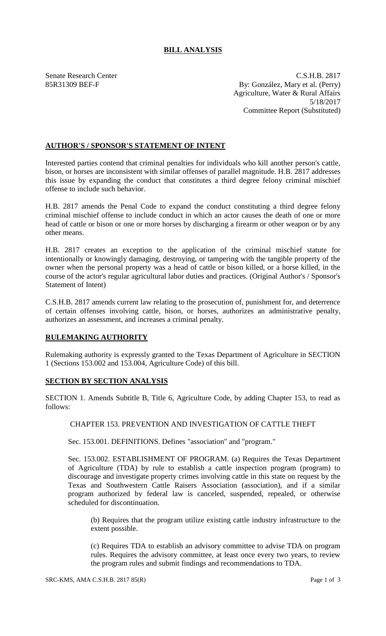## **BILL ANALYSIS**

Senate Research Center C.S.H.B. 2817 85R31309 BEF-F By: González, Mary et al. (Perry) Agriculture, Water & Rural Affairs 5/18/2017 Committee Report (Substituted)

## **AUTHOR'S / SPONSOR'S STATEMENT OF INTENT**

Interested parties contend that criminal penalties for individuals who kill another person's cattle, bison, or horses are inconsistent with similar offenses of parallel magnitude. H.B. 2817 addresses this issue by expanding the conduct that constitutes a third degree felony criminal mischief offense to include such behavior.

H.B. 2817 amends the Penal Code to expand the conduct constituting a third degree felony criminal mischief offense to include conduct in which an actor causes the death of one or more head of cattle or bison or one or more horses by discharging a firearm or other weapon or by any other means.

H.B. 2817 creates an exception to the application of the criminal mischief statute for intentionally or knowingly damaging, destroying, or tampering with the tangible property of the owner when the personal property was a head of cattle or bison killed, or a horse killed, in the course of the actor's regular agricultural labor duties and practices. (Original Author's / Sponsor's Statement of Intent)

C.S.H.B. 2817 amends current law relating to the prosecution of, punishment for, and deterrence of certain offenses involving cattle, bison, or horses, authorizes an administrative penalty, authorizes an assessment, and increases a criminal penalty.

## **RULEMAKING AUTHORITY**

Rulemaking authority is expressly granted to the Texas Department of Agriculture in SECTION 1 (Sections 153.002 and 153.004, Agriculture Code) of this bill.

## **SECTION BY SECTION ANALYSIS**

SECTION 1. Amends Subtitle B, Title 6, Agriculture Code, by adding Chapter 153, to read as follows:

CHAPTER 153. PREVENTION AND INVESTIGATION OF CATTLE THEFT

Sec. 153.001. DEFINITIONS. Defines "association" and "program."

Sec. 153.002. ESTABLISHMENT OF PROGRAM. (a) Requires the Texas Department of Agriculture (TDA) by rule to establish a cattle inspection program (program) to discourage and investigate property crimes involving cattle in this state on request by the Texas and Southwestern Cattle Raisers Association (association), and if a similar program authorized by federal law is canceled, suspended, repealed, or otherwise scheduled for discontinuation.

(b) Requires that the program utilize existing cattle industry infrastructure to the extent possible.

(c) Requires TDA to establish an advisory committee to advise TDA on program rules. Requires the advisory committee, at least once every two years, to review the program rules and submit findings and recommendations to TDA.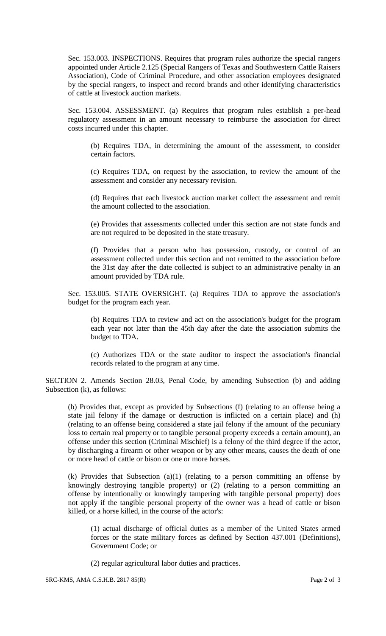Sec. 153.003. INSPECTIONS. Requires that program rules authorize the special rangers appointed under Article 2.125 (Special Rangers of Texas and Southwestern Cattle Raisers Association), Code of Criminal Procedure, and other association employees designated by the special rangers, to inspect and record brands and other identifying characteristics of cattle at livestock auction markets.

Sec. 153.004. ASSESSMENT. (a) Requires that program rules establish a per-head regulatory assessment in an amount necessary to reimburse the association for direct costs incurred under this chapter.

(b) Requires TDA, in determining the amount of the assessment, to consider certain factors.

(c) Requires TDA, on request by the association, to review the amount of the assessment and consider any necessary revision.

(d) Requires that each livestock auction market collect the assessment and remit the amount collected to the association.

(e) Provides that assessments collected under this section are not state funds and are not required to be deposited in the state treasury.

(f) Provides that a person who has possession, custody, or control of an assessment collected under this section and not remitted to the association before the 31st day after the date collected is subject to an administrative penalty in an amount provided by TDA rule.

Sec. 153.005. STATE OVERSIGHT. (a) Requires TDA to approve the association's budget for the program each year.

(b) Requires TDA to review and act on the association's budget for the program each year not later than the 45th day after the date the association submits the budget to TDA.

(c) Authorizes TDA or the state auditor to inspect the association's financial records related to the program at any time.

SECTION 2. Amends Section 28.03, Penal Code, by amending Subsection (b) and adding Subsection (k), as follows:

(b) Provides that, except as provided by Subsections (f) (relating to an offense being a state jail felony if the damage or destruction is inflicted on a certain place) and (h) (relating to an offense being considered a state jail felony if the amount of the pecuniary loss to certain real property or to tangible personal property exceeds a certain amount), an offense under this section (Criminal Mischief) is a felony of the third degree if the actor, by discharging a firearm or other weapon or by any other means, causes the death of one or more head of cattle or bison or one or more horses.

(k) Provides that Subsection (a)(1) (relating to a person committing an offense by knowingly destroying tangible property) or (2) (relating to a person committing an offense by intentionally or knowingly tampering with tangible personal property) does not apply if the tangible personal property of the owner was a head of cattle or bison killed, or a horse killed, in the course of the actor's:

(1) actual discharge of official duties as a member of the United States armed forces or the state military forces as defined by Section 437.001 (Definitions), Government Code; or

(2) regular agricultural labor duties and practices.